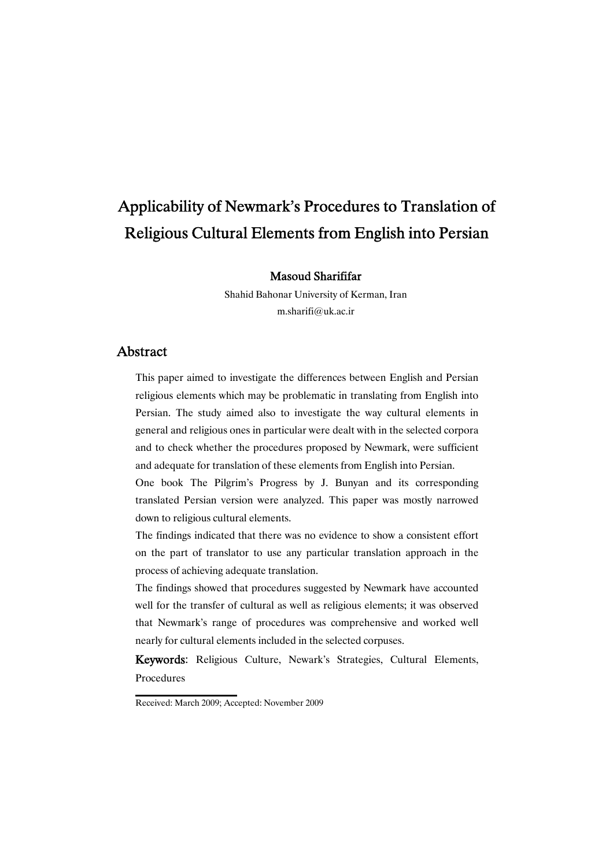# Applicability of Newmark's Procedures to Translation of Religious Cultural Elements from English into Persian

Masoud Sharififar

Shahid Bahonar University of Kerman, Iran m.sharifi@uk.ac.ir

### Abstract

This paper aimed to investigate the differences between English and Persian religious elements which may be problematic in translating from English into Persian. The study aimed also to investigate the way cultural elements in general and religious ones in particular were dealt with in the selected corpora and to check whether the procedures proposed by Newmark, were sufficient and adequate for translation of these elements from English into Persian.

One book The Pilgrim's Progress by J. Bunyan and its corresponding translated Persian version were analyzed. This paper was mostly narrowed down to religious cultural elements.

The findings indicated that there was no evidence to show a consistent effort on the part of translator to use any particular translation approach in the process of achieving adequate translation.

The findings showed that procedures suggested by Newmark have accounted well for the transfer of cultural as well as religious elements; it was observed that Newmark's range of procedures was comprehensive and worked well nearly for cultural elements included in the selected corpuses.

Keywords: Religious Culture, Newark's Strategies, Cultural Elements, Procedures

Received: March 2009; Accepted: November 2009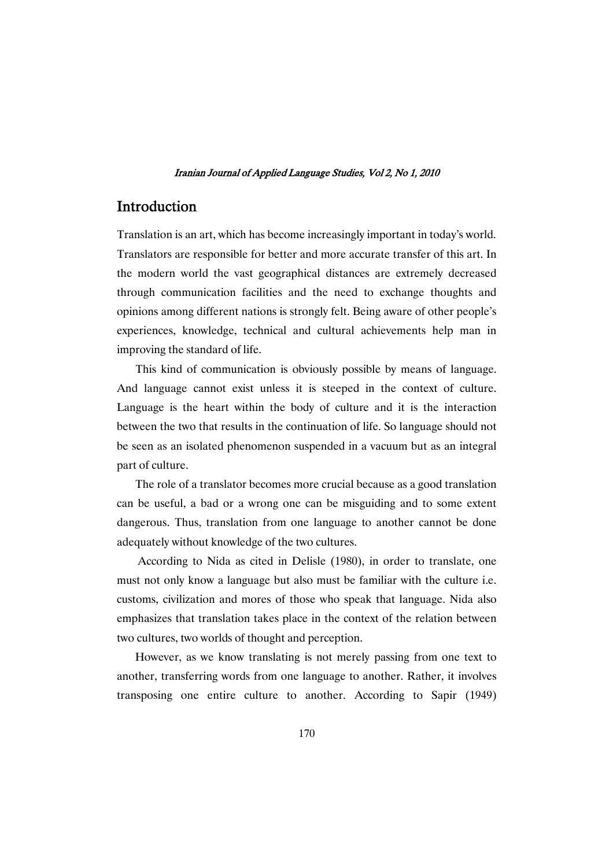# Introduction

Translation is an art, which has become increasingly important in today's world. Translators are responsible for better and more accurate transfer of this art. In the modern world the vast geographical distances are extremely decreased through communication facilities and the need to exchange thoughts and opinions among different nations is strongly felt. Being aware of other people's experiences, knowledge, technical and cultural achievements help man in improving the standard of life.

This kind of communication is obviously possible by means of language. And language cannot exist unless it is steeped in the context of culture. Language is the heart within the body of culture and it is the interaction between the two that results in the continuation of life. So language should not be seen as an isolated phenomenon suspended in a vacuum but as an integral part of culture.

The role of a translator becomes more crucial because as a good translation can be useful, a bad or a wrong one can be misguiding and to some extent dangerous. Thus, translation from one language to another cannot be done adequately without knowledge of the two cultures.

According to Nida as cited in Delisle (1980), in order to translate, one must not only know a language but also must be familiar with the culture i.e. customs, civilization and mores of those who speak that language. Nida also emphasizes that translation takes place in the context of the relation between two cultures, two worlds of thought and perception.

However, as we know translating is not merely passing from one text to another, transferring words from one language to another. Rather, it involves transposing one entire culture to another. According to Sapir (1949)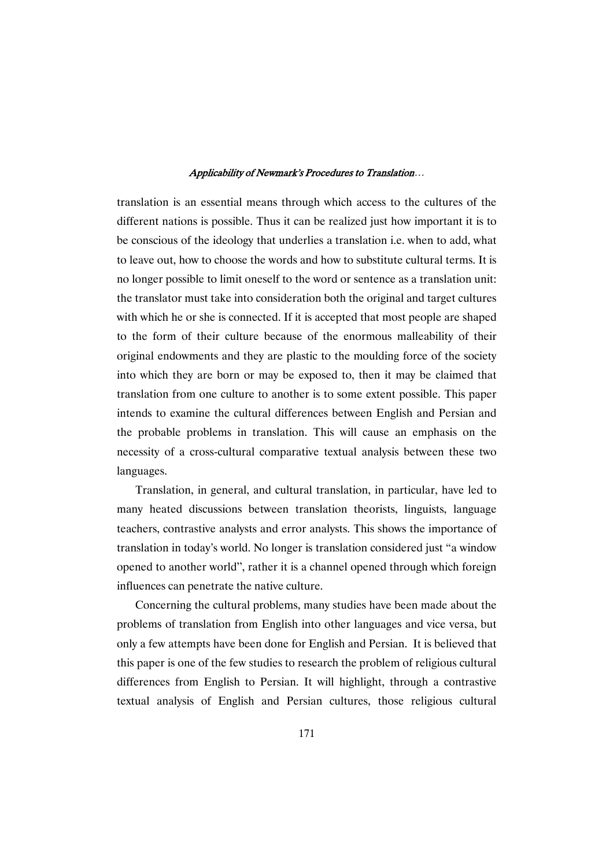translation is an essential means through which access to the cultures of the different nations is possible. Thus it can be realized just how important it is to be conscious of the ideology that underlies a translation i.e. when to add, what to leave out, how to choose the words and how to substitute cultural terms. It is no longer possible to limit oneself to the word or sentence as a translation unit: the translator must take into consideration both the original and target cultures with which he or she is connected. If it is accepted that most people are shaped to the form of their culture because of the enormous malleability of their original endowments and they are plastic to the moulding force of the society into which they are born or may be exposed to, then it may be claimed that translation from one culture to another is to some extent possible. This paper intends to examine the cultural differences between English and Persian and the probable problems in translation. This will cause an emphasis on the necessity of a cross-cultural comparative textual analysis between these two languages.

Translation, in general, and cultural translation, in particular, have led to many heated discussions between translation theorists, linguists, language teachers, contrastive analysts and error analysts. This shows the importance of translation in today's world. No longer is translation considered just "a window opened to another world", rather it is a channel opened through which foreign influences can penetrate the native culture.

Concerning the cultural problems, many studies have been made about the problems of translation from English into other languages and vice versa, but only a few attempts have been done for English and Persian. It is believed that this paper is one of the few studies to research the problem of religious cultural differences from English to Persian. It will highlight, through a contrastive textual analysis of English and Persian cultures, those religious cultural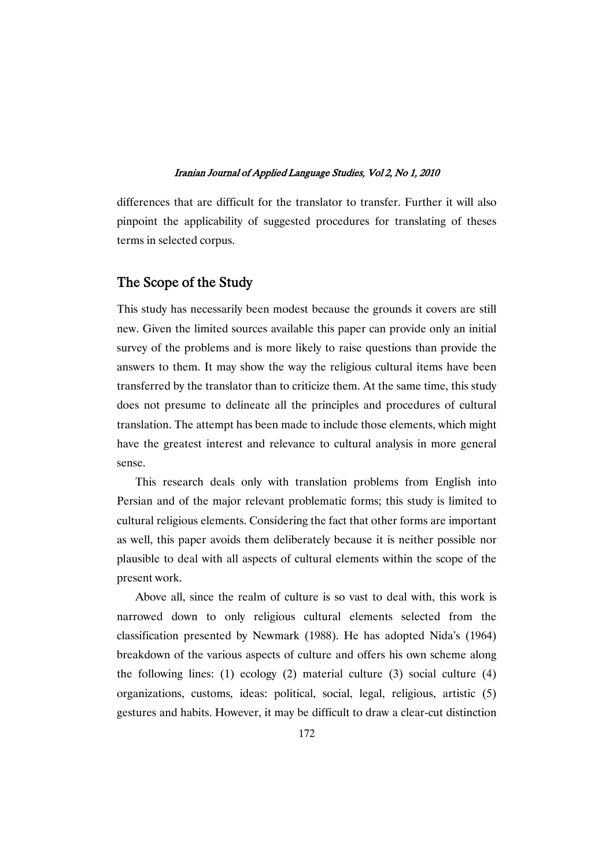differences that are difficult for the translator to transfer. Further it will also pinpoint the applicability of suggested procedures for translating of theses terms in selected corpus.

### The Scope of the Study

This study has necessarily been modest because the grounds it covers are still new. Given the limited sources available this paper can provide only an initial survey of the problems and is more likely to raise questions than provide the answers to them. It may show the way the religious cultural items have been transferred by the translator than to criticize them. At the same time, this study does not presume to delineate all the principles and procedures of cultural translation. The attempt has been made to include those elements, which might have the greatest interest and relevance to cultural analysis in more general sense.

This research deals only with translation problems from English into Persian and of the major relevant problematic forms; this study is limited to cultural religious elements. Considering the fact that other forms are important as well, this paper avoids them deliberately because it is neither possible nor plausible to deal with all aspects of cultural elements within the scope of the present work.

Above all, since the realm of culture is so vast to deal with, this work is narrowed down to only religious cultural elements selected from the classification presented by Newmark (1988). He has adopted Nida's (1964) breakdown of the various aspects of culture and offers his own scheme along the following lines: (1) ecology (2) material culture (3) social culture (4) organizations, customs, ideas: political, social, legal, religious, artistic (5) gestures and habits. However, it may be difficult to draw a clear-cut distinction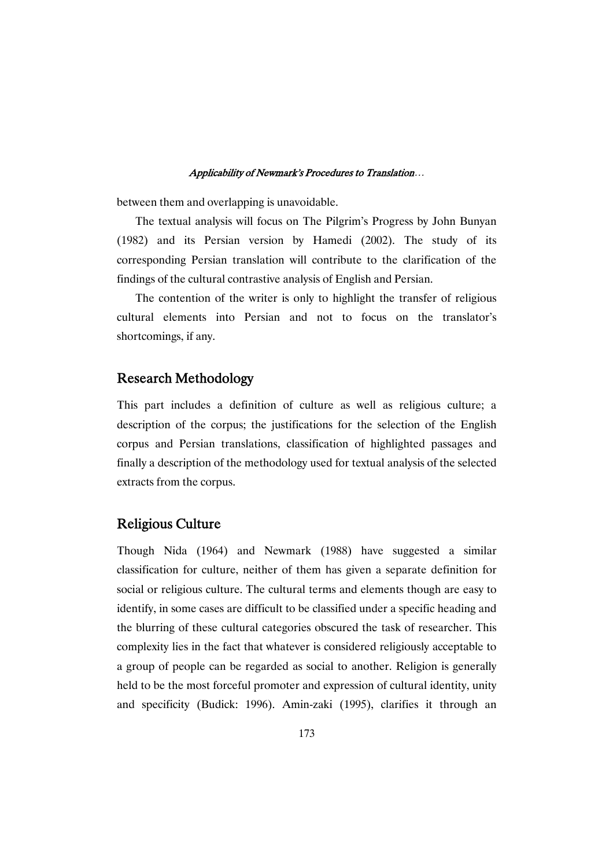between them and overlapping is unavoidable.

The textual analysis will focus on The Pilgrim's Progress by John Bunyan (1982) and its Persian version by Hamedi (2002). The study of its corresponding Persian translation will contribute to the clarification of the findings of the cultural contrastive analysis of English and Persian.

The contention of the writer is only to highlight the transfer of religious cultural elements into Persian and not to focus on the translator's shortcomings, if any.

### Research Methodology

This part includes a definition of culture as well as religious culture; a description of the corpus; the justifications for the selection of the English corpus and Persian translations, classification of highlighted passages and finally a description of the methodology used for textual analysis of the selected extracts from the corpus.

### Religious Culture

Though Nida (1964) and Newmark (1988) have suggested a similar classification for culture, neither of them has given a separate definition for social or religious culture. The cultural terms and elements though are easy to identify, in some cases are difficult to be classified under a specific heading and the blurring of these cultural categories obscured the task of researcher. This complexity lies in the fact that whatever is considered religiously acceptable to a group of people can be regarded as social to another. Religion is generally held to be the most forceful promoter and expression of cultural identity, unity and specificity (Budick: 1996). Amin-zaki (1995), clarifies it through an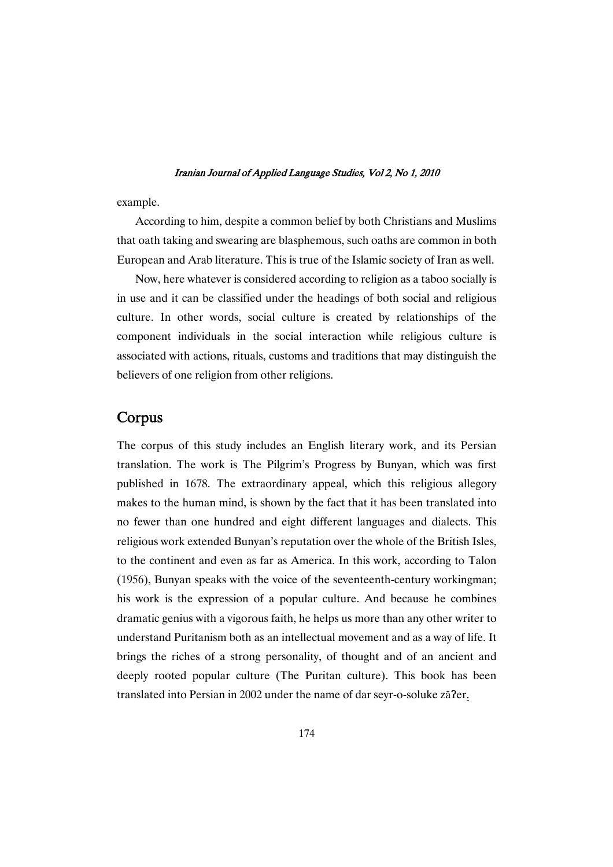example.

According to him, despite a common belief by both Christians and Muslims that oath taking and swearing are blasphemous, such oaths are common in both European and Arab literature. This is true of the Islamic society of Iran as well.

Now, here whatever is considered according to religion as a taboo socially is in use and it can be classified under the headings of both social and religious culture. In other words, social culture is created by relationships of the component individuals in the social interaction while religious culture is associated with actions, rituals, customs and traditions that may distinguish the believers of one religion from other religions.

# Corpus

The corpus of this study includes an English literary work, and its Persian translation. The work is The Pilgrim's Progress by Bunyan, which was first published in 1678. The extraordinary appeal, which this religious allegory makes to the human mind, is shown by the fact that it has been translated into no fewer than one hundred and eight different languages and dialects. This religious work extended Bunyan's reputation over the whole of the British Isles, to the continent and even as far as America. In this work, according to Talon (1956), Bunyan speaks with the voice of the seventeenth-century workingman; his work is the expression of a popular culture. And because he combines dramatic genius with a vigorous faith, he helps us more than any other writer to understand Puritanism both as an intellectual movement and as a way of life. It brings the riches of a strong personality, of thought and of an ancient and deeply rooted popular culture (The Puritan culture). This book has been translated into Persian in 2002 under the name of dar seyr-o-soluke zā?er.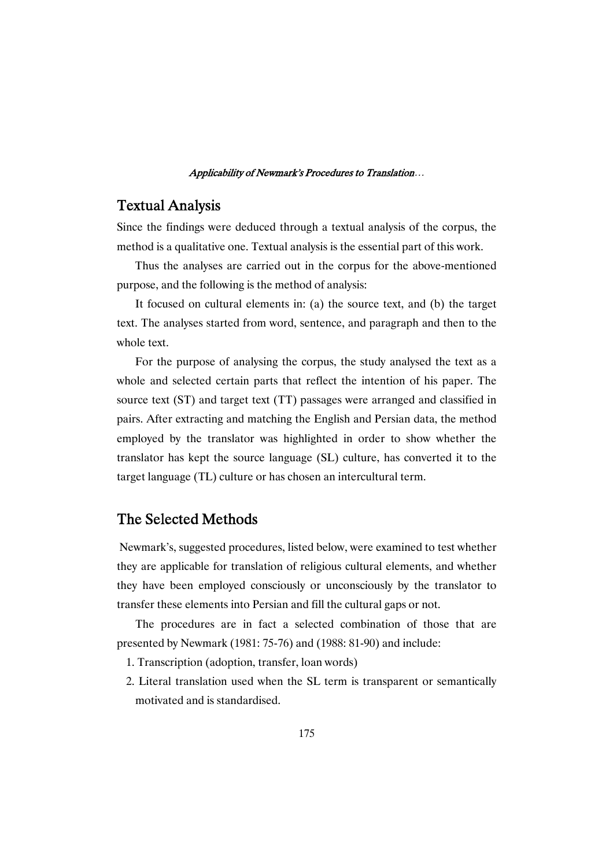# Textual Analysis

Since the findings were deduced through a textual analysis of the corpus, the method is a qualitative one. Textual analysis is the essential part of this work.

Thus the analyses are carried out in the corpus for the above-mentioned purpose, and the following is the method of analysis:

It focused on cultural elements in: (a) the source text, and (b) the target text. The analyses started from word, sentence, and paragraph and then to the whole text.

For the purpose of analysing the corpus, the study analysed the text as a whole and selected certain parts that reflect the intention of his paper. The source text (ST) and target text (TT) passages were arranged and classified in pairs. After extracting and matching the English and Persian data, the method employed by the translator was highlighted in order to show whether the translator has kept the source language (SL) culture, has converted it to the target language (TL) culture or has chosen an intercultural term.

# The Selected Methods

Newmark's, suggested procedures, listed below, were examined to test whether they are applicable for translation of religious cultural elements, and whether they have been employed consciously or unconsciously by the translator to transfer these elements into Persian and fill the cultural gaps or not.

The procedures are in fact a selected combination of those that are presented by Newmark (1981: 75-76) and (1988: 81-90) and include:

- 1. Transcription (adoption, transfer, loan words)
- 2. Literal translation used when the SL term is transparent or semantically motivated and is standardised.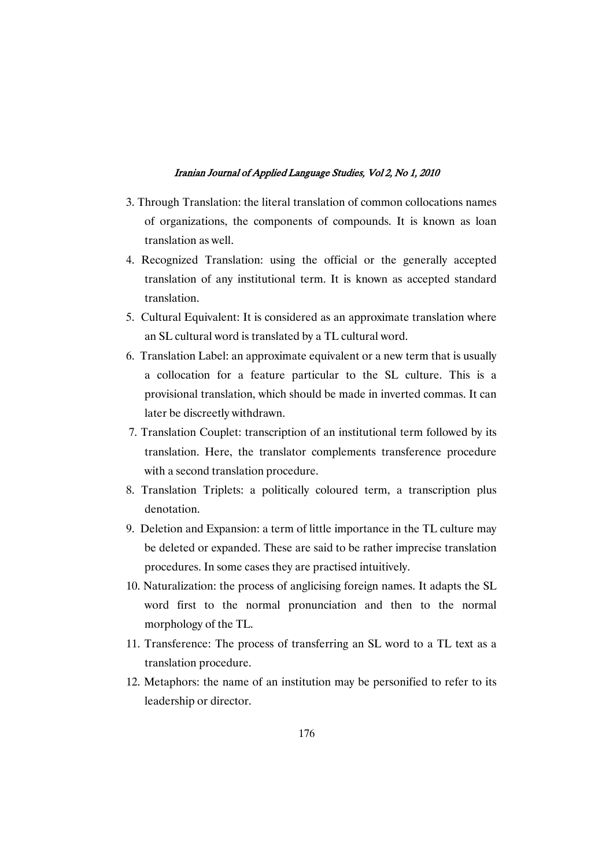- 3. Through Translation: the literal translation of common collocations names of organizations, the components of compounds. It is known as loan translation as well.
- 4. Recognized Translation: using the official or the generally accepted translation of any institutional term. It is known as accepted standard translation.
- 5. Cultural Equivalent: It is considered as an approximate translation where an SL cultural word is translated by a TL cultural word.
- 6. Translation Label: an approximate equivalent or a new term that is usually a collocation for a feature particular to the SL culture. This is a provisional translation, which should be made in inverted commas. It can later be discreetly withdrawn.
- 7. Translation Couplet: transcription of an institutional term followed by its translation. Here, the translator complements transference procedure with a second translation procedure.
- 8. Translation Triplets: a politically coloured term, a transcription plus denotation.
- 9. Deletion and Expansion: a term of little importance in the TL culture may be deleted or expanded. These are said to be rather imprecise translation procedures. In some cases they are practised intuitively.
- 10. Naturalization: the process of anglicising foreign names. It adapts the SL word first to the normal pronunciation and then to the normal morphology of the TL.
- 11. Transference: The process of transferring an SL word to a TL text as a translation procedure.
- 12. Metaphors: the name of an institution may be personified to refer to its leadership or director.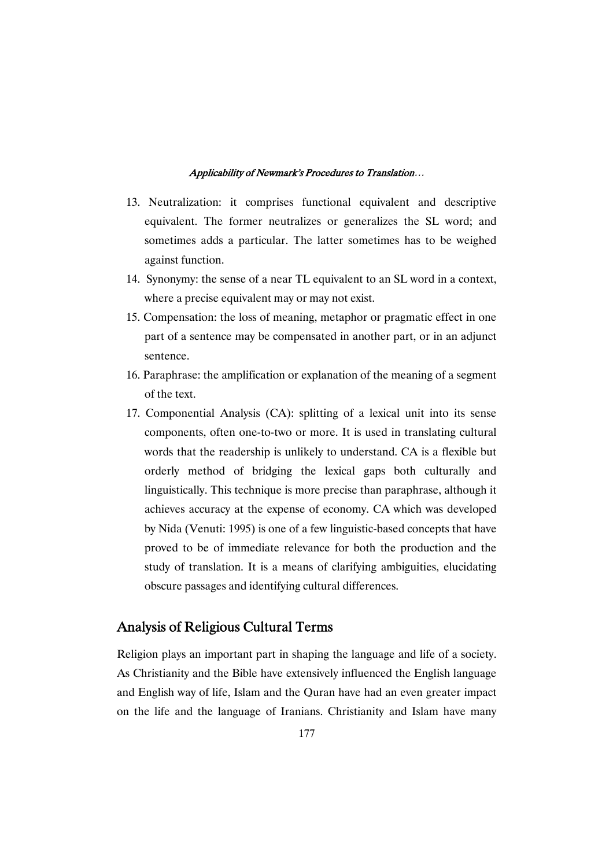- 13. Neutralization: it comprises functional equivalent and descriptive equivalent. The former neutralizes or generalizes the SL word; and sometimes adds a particular. The latter sometimes has to be weighed against function.
- 14. Synonymy: the sense of a near TL equivalent to an SL word in a context, where a precise equivalent may or may not exist.
- 15. Compensation: the loss of meaning, metaphor or pragmatic effect in one part of a sentence may be compensated in another part, or in an adjunct sentence.
- 16. Paraphrase: the amplification or explanation of the meaning of a segment of the text.
- 17. Componential Analysis (CA): splitting of a lexical unit into its sense components, often one-to-two or more. It is used in translating cultural words that the readership is unlikely to understand. CA is a flexible but orderly method of bridging the lexical gaps both culturally and linguistically. This technique is more precise than paraphrase, although it achieves accuracy at the expense of economy. CA which was developed by Nida (Venuti: 1995) is one of a few linguistic-based concepts that have proved to be of immediate relevance for both the production and the study of translation. It is a means of clarifying ambiguities, elucidating obscure passages and identifying cultural differences.

### Analysis of Religious Cultural Terms

Religion plays an important part in shaping the language and life of a society. As Christianity and the Bible have extensively influenced the English language and English way of life, Islam and the Quran have had an even greater impact on the life and the language of Iranians. Christianity and Islam have many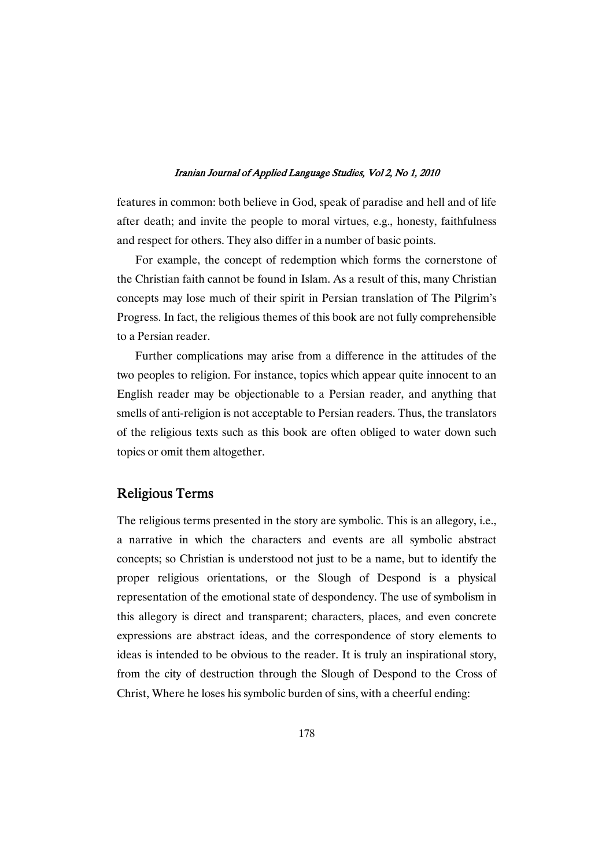features in common: both believe in God, speak of paradise and hell and of life after death; and invite the people to moral virtues, e.g., honesty, faithfulness and respect for others. They also differ in a number of basic points.

For example, the concept of redemption which forms the cornerstone of the Christian faith cannot be found in Islam. As a result of this, many Christian concepts may lose much of their spirit in Persian translation of The Pilgrim's Progress. In fact, the religious themes of this book are not fully comprehensible to a Persian reader.

Further complications may arise from a difference in the attitudes of the two peoples to religion. For instance, topics which appear quite innocent to an English reader may be objectionable to a Persian reader, and anything that smells of anti-religion is not acceptable to Persian readers. Thus, the translators of the religious texts such as this book are often obliged to water down such topics or omit them altogether.

### Religious Terms

The religious terms presented in the story are symbolic. This is an allegory, i.e., a narrative in which the characters and events are all symbolic abstract concepts; so Christian is understood not just to be a name, but to identify the proper religious orientations, or the Slough of Despond is a physical representation of the emotional state of despondency. The use of symbolism in this allegory is direct and transparent; characters, places, and even concrete expressions are abstract ideas, and the correspondence of story elements to ideas is intended to be obvious to the reader. It is truly an inspirational story, from the city of destruction through the Slough of Despond to the Cross of Christ, Where he loses his symbolic burden of sins, with a cheerful ending: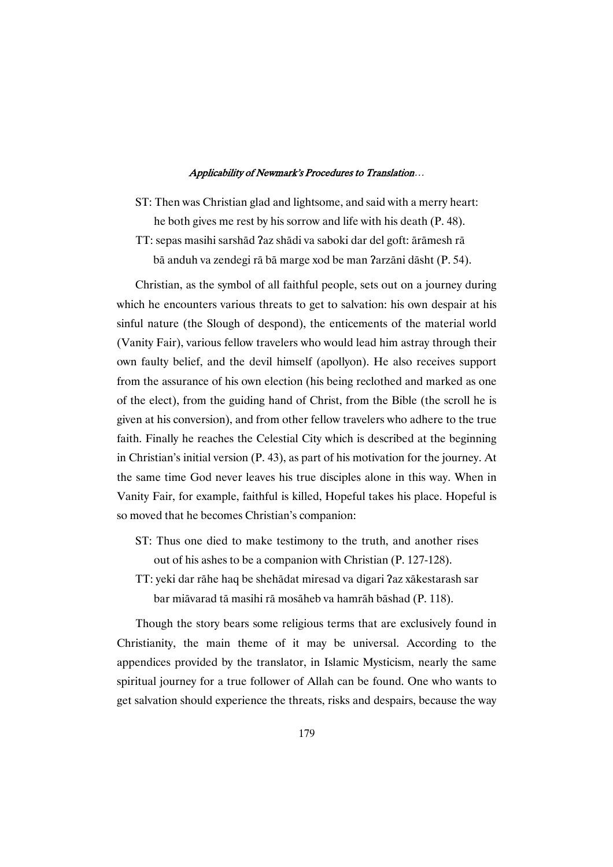ST: Then was Christian glad and lightsome, and said with a merry heart: he both gives me rest by his sorrow and life with his death (P. 48). TT: sepas masihi sarshād ?az shādi va saboki dar del goft: ārāmesh rā bā anduh va zendegi rā bā marge xod be man ?arzāni dāsht (P. 54).

Christian, as the symbol of all faithful people, sets out on a journey during which he encounters various threats to get to salvation: his own despair at his sinful nature (the Slough of despond), the enticements of the material world (Vanity Fair), various fellow travelers who would lead him astray through their own faulty belief, and the devil himself (apollyon). He also receives support from the assurance of his own election (his being reclothed and marked as one of the elect), from the guiding hand of Christ, from the Bible (the scroll he is given at his conversion), and from other fellow travelers who adhere to the true faith. Finally he reaches the Celestial City which is described at the beginning in Christian's initial version (P. 43), as part of his motivation for the journey. At the same time God never leaves his true disciples alone in this way. When in Vanity Fair, for example, faithful is killed, Hopeful takes his place. Hopeful is so moved that he becomes Christian's companion:

- ST: Thus one died to make testimony to the truth, and another rises out of his ashes to be a companion with Christian (P. 127-128).
- TT: yeki dar rāhe haq be shehādat miresad va digari ?az xākestarash sar bar miāvarad tā masihi rā mosāheb va hamrāh bāshad (P. 118).

Though the story bears some religious terms that are exclusively found in Christianity, the main theme of it may be universal. According to the appendices provided by the translator, in Islamic Mysticism, nearly the same spiritual journey for a true follower of Allah can be found. One who wants to get salvation should experience the threats, risks and despairs, because the way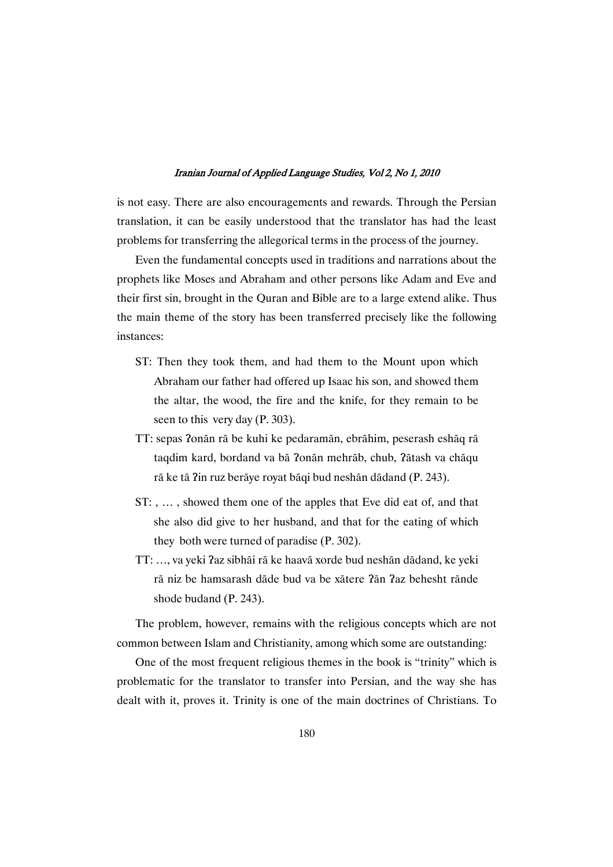is not easy. There are also encouragements and rewards. Through the Persian translation, it can be easily understood that the translator has had the least problems for transferring the allegorical terms in the process of the journey.

Even the fundamental concepts used in traditions and narrations about the prophets like Moses and Abraham and other persons like Adam and Eve and their first sin, brought in the Quran and Bible are to a large extend alike. Thus the main theme of the story has been transferred precisely like the following instances:

- ST: Then they took them, and had them to the Mount upon which Abraham our father had offered up Isaac his son, and showed them the altar, the wood, the fire and the knife, for they remain to be seen to this very day (P. 303).
- TT: sepas ?onān rā be kuhi ke pedaramān, ebrāhim, peserash eshāq rā taqdim kard, bordand va bā ?onān mehrāb, chub, ?ātash va chāqu rā ke tā ?in ruz berāye royat bāqi bud neshān dādand (P. 243).
- ST: , … , showed them one of the apples that Eve did eat of, and that she also did give to her husband, and that for the eating of which they both were turned of paradise (P. 302).
- TT: ..., va veki ?az sibhāi rā ke haavā xorde bud neshān dādand, ke veki rā niz be hamsarash dāde bud va be xātere ?ān ?az behesht rānde shode budand (P. 243).

The problem, however, remains with the religious concepts which are not common between Islam and Christianity, among which some are outstanding:

One of the most frequent religious themes in the book is "trinity" which is problematic for the translator to transfer into Persian, and the way she has dealt with it, proves it. Trinity is one of the main doctrines of Christians. To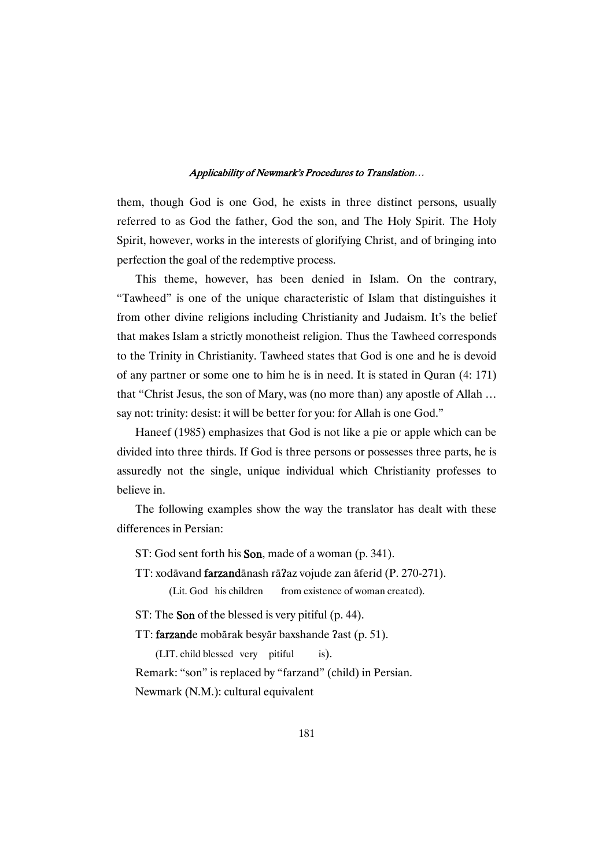them, though God is one God, he exists in three distinct persons, usually referred to as God the father, God the son, and The Holy Spirit. The Holy Spirit, however, works in the interests of glorifying Christ, and of bringing into perfection the goal of the redemptive process.

This theme, however, has been denied in Islam. On the contrary, "Tawheed" is one of the unique characteristic of Islam that distinguishes it from other divine religions including Christianity and Judaism. It's the belief that makes Islam a strictly monotheist religion. Thus the Tawheed corresponds to the Trinity in Christianity. Tawheed states that God is one and he is devoid of any partner or some one to him he is in need. It is stated in Quran (4: 171) that "Christ Jesus, the son of Mary, was (no more than) any apostle of Allah … say not: trinity: desist: it will be better for you: for Allah is one God."

Haneef (1985) emphasizes that God is not like a pie or apple which can be divided into three thirds. If God is three persons or possesses three parts, he is assuredly not the single, unique individual which Christianity professes to believe in.

The following examples show the way the translator has dealt with these differences in Persian:

ST: God sent forth his **Son**, made of a woman (p. 341).

TT: xodāvand **farzand**ānash rāʔaz vojude zan āferid (P. 270-271).

(Lit. God his children from existence of woman created).

ST: The **Son** of the blessed is very pitiful (p. 44).

TT: farzande mobārak besyār baxshande ?ast (p. 51).

(LIT. child blessed very pitiful is). Remark: "son" is replaced by "farzand" (child) in Persian. Newmark (N.M.): cultural equivalent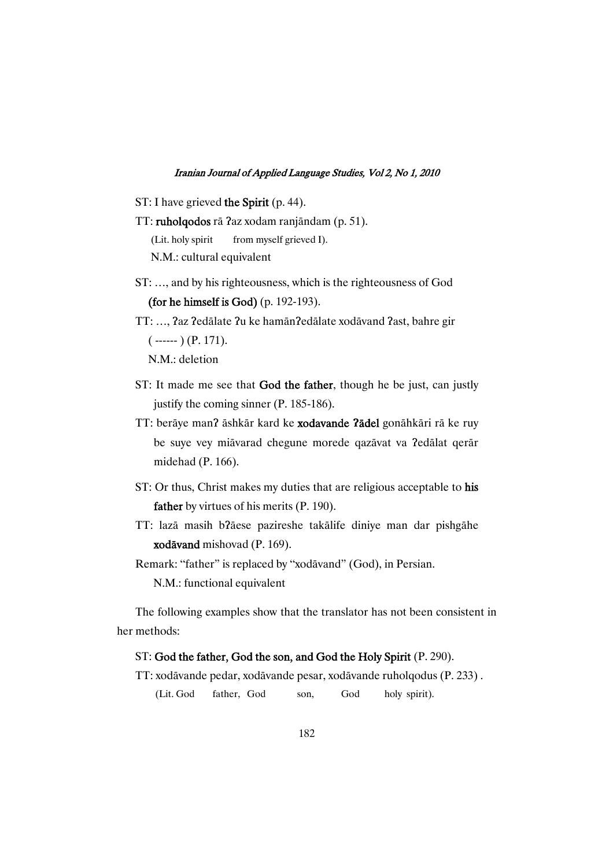ST: I have grieved the Spirit (p. 44).

```
TT: ruholqodos rā ?az xodam ranjāndam (p. 51).
(Lit. holy spirit from myself grieved I).
N.M.: cultural equivalent
```
- ST: …, and by his righteousness, which is the righteousness of God (for he himself is God) (p. 192-193).
- TT: ..., ?az ?edālate ?u ke hamān?edālate xodāvand ?ast, bahre gir  $(-\cdots)$  (P. 171). N.M.: deletion
- ST: It made me see that God the father, though he be just, can justly justify the coming sinner (P. 185-186).
- TT: berāye man? āshkār kard ke **xodavande ?ādel** gonāhkāri rā ke ruy be suye vey miāvarad chegune morede qazāvat va ?edālat qerār midehad (P. 166).
- ST: Or thus, Christ makes my duties that are religious acceptable to his father by virtues of his merits (P. 190).
- TT: lazā masih b?āese pazireshe takālife diniye man dar pishgāhe xodāvand mishovad (P. 169).

Remark: "father" is replaced by "xodāvand" (God), in Persian.

N.M.: functional equivalent

The following examples show that the translator has not been consistent in her methods:

### ST: God the father, God the son, and God the Holy Spirit (P. 290).

TT: xodāvande pedar, xodāvande pesar, xodāvande ruholqodus (P. 233).

(Lit. God father, God son, God holy spirit).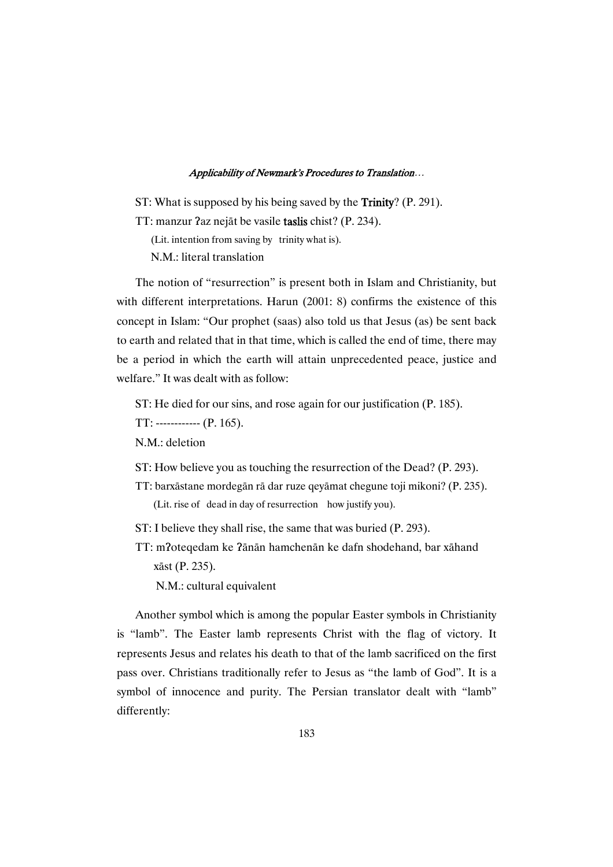ST: What is supposed by his being saved by the **Trinity**? (P. 291).

TT: manzur ?az nejāt be vasile **taslis** chist? (P. 234).

(Lit. intention from saving by trinity what is).

N.M.: literal translation

The notion of "resurrection" is present both in Islam and Christianity, but with different interpretations. Harun (2001: 8) confirms the existence of this concept in Islam: "Our prophet (saas) also told us that Jesus (as) be sent back to earth and related that in that time, which is called the end of time, there may be a period in which the earth will attain unprecedented peace, justice and welfare." It was dealt with as follow:

ST: He died for our sins, and rose again for our justification (P. 185).

TT: ------------ (P. 165).

N.M.: deletion

- ST: How believe you as touching the resurrection of the Dead? (P. 293).
- TT: barxāstane mordegān rā dar ruze qeyāmat chegune toji mikoni? (P. 235). (Lit. rise of dead in day of resurrection how justify you).
- ST: I believe they shall rise, the same that was buried (P. 293).
- TT: m?oteqedam ke ?ānān hamchenān ke dafn shodehand, bar xāhand xāst (P. 235).

N.M.: cultural equivalent

Another symbol which is among the popular Easter symbols in Christianity is "lamb". The Easter lamb represents Christ with the flag of victory. It represents Jesus and relates his death to that of the lamb sacrificed on the first pass over. Christians traditionally refer to Jesus as "the lamb of God". It is a symbol of innocence and purity. The Persian translator dealt with "lamb" differently: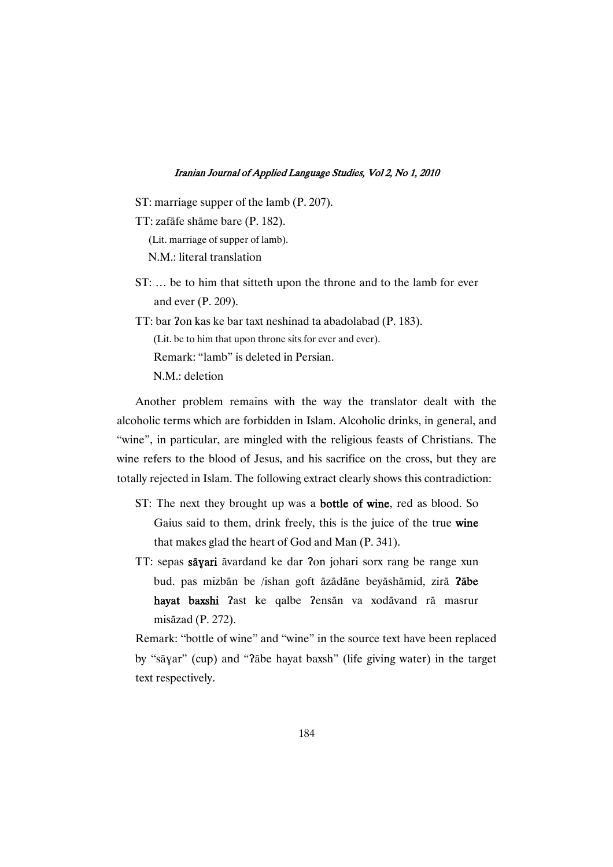- ST: marriage supper of the lamb (P. 207).
- TT: zafāfe shāme bare (P. 182). (Lit. marriage of supper of lamb). N.M.: literal translation
- ST: … be to him that sitteth upon the throne and to the lamb for ever and ever (P. 209).
- TT: bar ?on kas ke bar taxt neshinad ta abadolabad (P. 183).
	- (Lit. be to him that upon throne sits for ever and ever).

Remark: "lamb" is deleted in Persian.

N.M.: deletion

Another problem remains with the way the translator dealt with the alcoholic terms which are forbidden in Islam. Alcoholic drinks, in general, and "wine", in particular, are mingled with the religious feasts of Christians. The wine refers to the blood of Jesus, and his sacrifice on the cross, but they are totally rejected in Islam. The following extract clearly shows this contradiction:

- ST: The next they brought up was a **bottle of wine**, red as blood. So Gaius said to them, drink freely, this is the juice of the true wine that makes glad the heart of God and Man (P. 341).
- TT: sepas sāyari āvardand ke dar ?on johari sorx rang be range xun bud. pas mizbān be /ishan goft āzādāne beyāshāmid, zirā ?ābe **hayat baxshi** ?ast ke qalbe ?ensān va xodāvand rā masrur misāzad (P. 272).

Remark: "bottle of wine" and "wine" in the source text have been replaced by "sāyar" (cup) and "?abe hayat baxsh" (life giving water) in the target text respectively.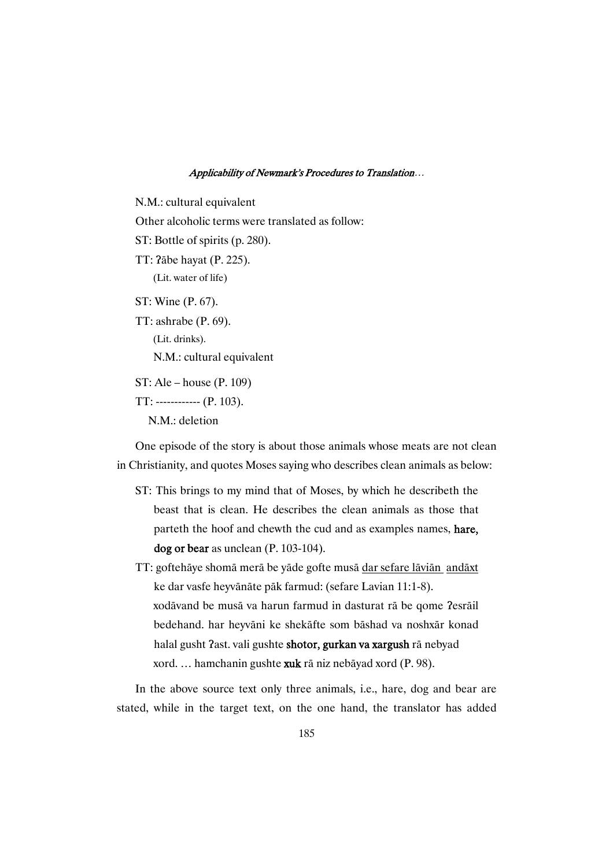N.M.: cultural equivalent Other alcoholic terms were translated as follow: ST: Bottle of spirits (p. 280). TT: ?abe hayat (P. 225). (Lit. water of life) ST: Wine (P. 67). TT: ashrabe (P. 69). (Lit. drinks). N.M.: cultural equivalent ST: Ale – house (P. 109) TT: ------------ (P. 103). N.M.: deletion

One episode of the story is about those animals whose meats are not clean in Christianity, and quotes Moses saying who describes clean animals as below:

- ST: This brings to my mind that of Moses, by which he describeth the beast that is clean. He describes the clean animals as those that parteth the hoof and chewth the cud and as examples names, hare, dog or bear as unclean (P. 103-104).
- TT: goftehāye shomā merā be yāde gofte musā dar sefare lāviān andāxt ke dar vasfe heyvānāte pāk farmud: (sefare Lavian 11:1-8). xodāvand be musā va harun farmud in dasturat rā be qome ?esrāil bedehand. har heyvāni ke shekāfte som bāshad va noshxār konad halal gusht ?ast. vali gushte **shotor, gurkan va xargush** rā nebyad xord. ... hamchanin gushte xuk rā niz nebāyad xord (P. 98).

In the above source text only three animals, i.e., hare, dog and bear are stated, while in the target text, on the one hand, the translator has added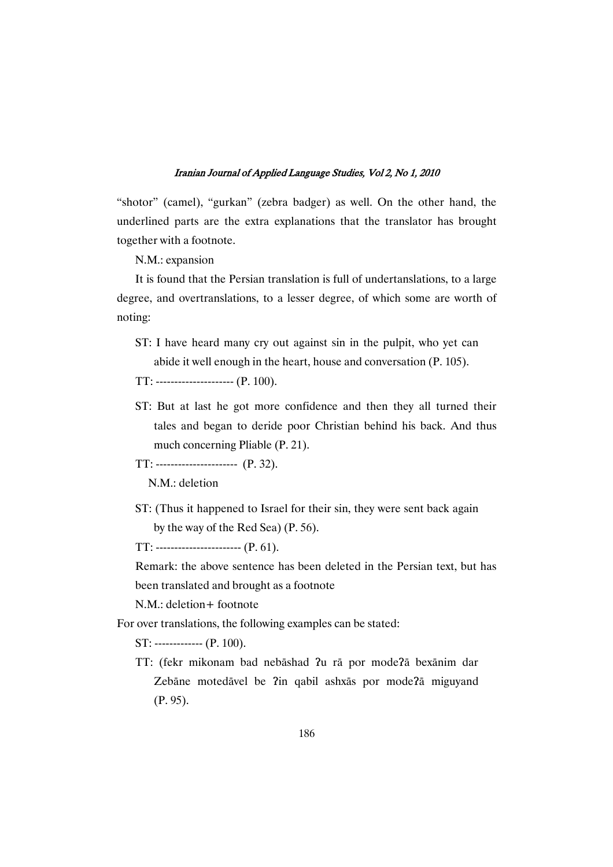"shotor" (camel), "gurkan" (zebra badger) as well. On the other hand, the underlined parts are the extra explanations that the translator has brought together with a footnote.

N.M.: expansion

It is found that the Persian translation is full of undertanslations, to a large degree, and overtranslations, to a lesser degree, of which some are worth of noting:

- ST: I have heard many cry out against sin in the pulpit, who yet can abide it well enough in the heart, house and conversation (P. 105).
- TT: --------------------- (P. 100).
- ST: But at last he got more confidence and then they all turned their tales and began to deride poor Christian behind his back. And thus much concerning Pliable (P. 21).

TT: ---------------------- (P. 32).

N.M.: deletion

ST: (Thus it happened to Israel for their sin, they were sent back again by the way of the Red Sea) (P. 56).

 $TT:$  ------------------------ (P. 61).

Remark: the above sentence has been deleted in the Persian text, but has been translated and brought as a footnote

N.M.: deletion+ footnote

For over translations, the following examples can be stated:

ST: ------------- (P. 100).

TT: (fekr mikonam bad nebāshad ?u rā por mode?ā bexānim dar Zebāne motedāvel be ?in qabil ashxās por mode?ā miguyand (P. 95).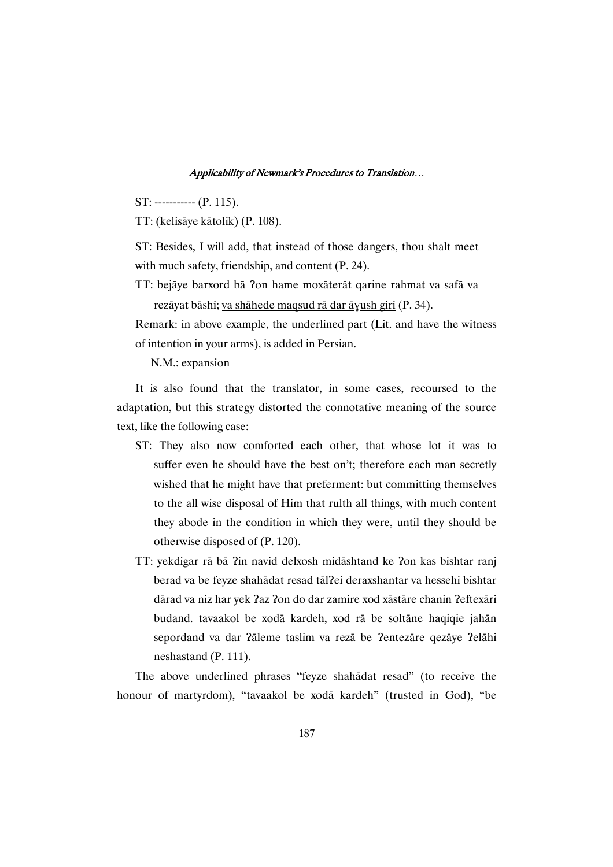ST: ----------- (P. 115).

TT: (kelisäye kätolik) (P. 108).

ST: Besides, I will add, that instead of those dangers, thou shalt meet with much safety, friendship, and content (P. 24).

TT: bejāye barxord bā ?on hame moxāterāt qarine rahmat va safā va rezāyat bāshi; <u>va shāhede maqsud rā dar āɣush giri</u> (P. 34).

Remark: in above example, the underlined part (Lit. and have the witness of intention in your arms), is added in Persian.

N.M.: expansion

It is also found that the translator, in some cases, recoursed to the adaptation, but this strategy distorted the connotative meaning of the source text, like the following case:

- ST: They also now comforted each other, that whose lot it was to suffer even he should have the best on't; therefore each man secretly wished that he might have that preferment: but committing themselves to the all wise disposal of Him that rulth all things, with much content they abode in the condition in which they were, until they should be otherwise disposed of (P. 120).
- TT: yekdigar rā bā ?in navid delxosh midāshtand ke ?on kas bishtar ranj berad va be feyze shahādat resad tāl?ei deraxshantar va hessehi bishtar dārad va niz har yek ?az ?on do dar zamire xod xāstāre chanin ?eftexāri budand. tavaakol be xodā kardeh, xod rā be soltāne haqiqie jahān sepordand va dar ?āleme taslim va rezā be ?entezāre qezāye ?elāhi neshastand (P. 111).

The above underlined phrases "feyze shahādat resad" (to receive the honour of martyrdom), "tavaakol be xodā kardeh" (trusted in God), "be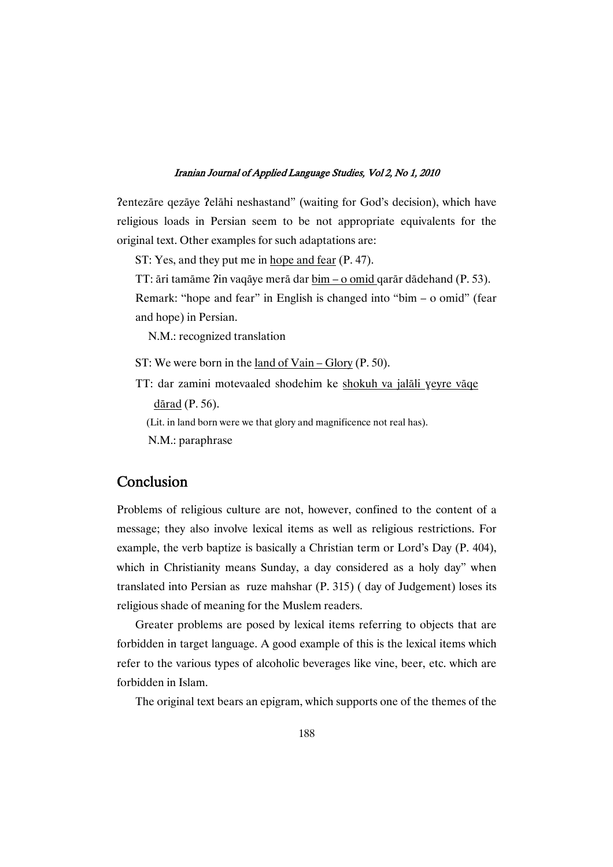Pentezāre qezāye Pelāhi neshastand" (waiting for God's decision), which have religious loads in Persian seem to be not appropriate equivalents for the original text. Other examples for such adaptations are:

ST: Yes, and they put me in hope and fear (P. 47).

TT: āri tamāme ?in vaqāye merā dar <u>bim – o omid q</u>arār dādehand (P. 53).

Remark: "hope and fear" in English is changed into "bim – o omid" (fear and hope) in Persian.

N.M.: recognized translation

- ST: We were born in the land of Vain Glory (P. 50).
- TT: dar zamini motevaaled shodehim ke shokuh va jalāli yeyre vāqe dārad  $(P. 56)$ .
	- (Lit. in land born were we that glory and magnificence not real has).
	- N.M.: paraphrase

# Conclusion

Problems of religious culture are not, however, confined to the content of a message; they also involve lexical items as well as religious restrictions. For example, the verb baptize is basically a Christian term or Lord's Day (P. 404), which in Christianity means Sunday, a day considered as a holy day" when translated into Persian as ruze mahshar (P. 315) ( day of Judgement) loses its religious shade of meaning for the Muslem readers.

Greater problems are posed by lexical items referring to objects that are forbidden in target language. A good example of this is the lexical items which refer to the various types of alcoholic beverages like vine, beer, etc. which are forbidden in Islam.

The original text bears an epigram, which supports one of the themes of the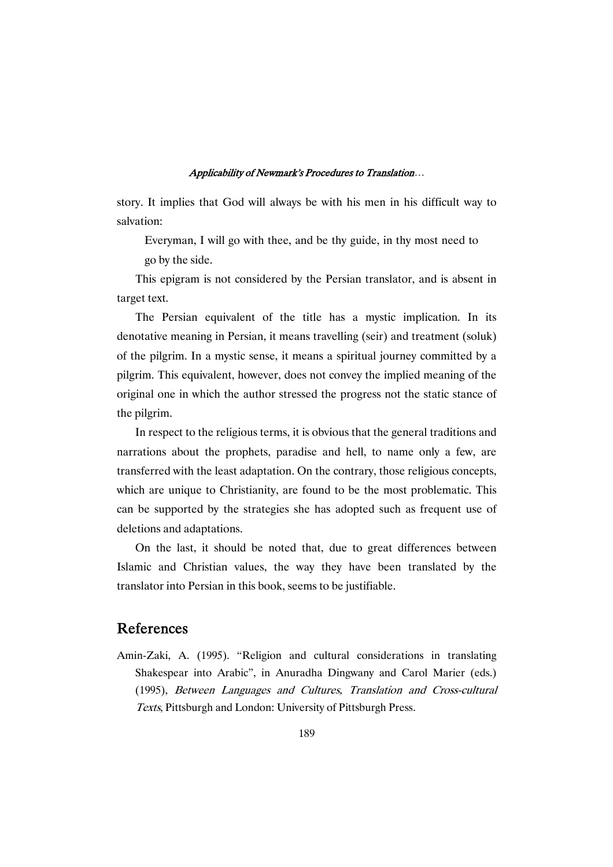story. It implies that God will always be with his men in his difficult way to salvation:

Everyman, I will go with thee, and be thy guide, in thy most need to go by the side.

This epigram is not considered by the Persian translator, and is absent in target text.

The Persian equivalent of the title has a mystic implication. In its denotative meaning in Persian, it means travelling (seir) and treatment (soluk) of the pilgrim. In a mystic sense, it means a spiritual journey committed by a pilgrim. This equivalent, however, does not convey the implied meaning of the original one in which the author stressed the progress not the static stance of the pilgrim.

In respect to the religious terms, it is obvious that the general traditions and narrations about the prophets, paradise and hell, to name only a few, are transferred with the least adaptation. On the contrary, those religious concepts, which are unique to Christianity, are found to be the most problematic. This can be supported by the strategies she has adopted such as frequent use of deletions and adaptations.

On the last, it should be noted that, due to great differences between Islamic and Christian values, the way they have been translated by the translator into Persian in this book, seems to be justifiable.

# References

Amin-Zaki, A. (1995). "Religion and cultural considerations in translating Shakespear into Arabic", in Anuradha Dingwany and Carol Marier (eds.) (1995), Between Languages and Cultures, Translation and Cross-cultural Texts, Pittsburgh and London: University of Pittsburgh Press.